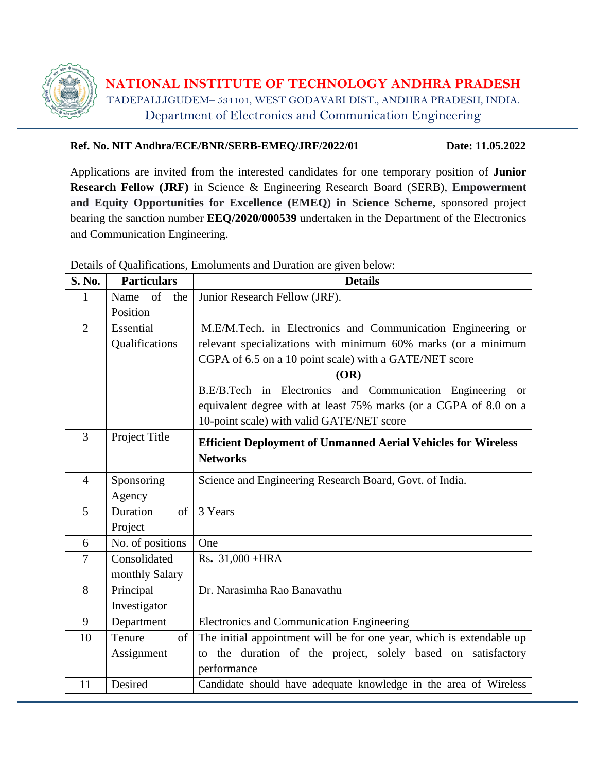

**NATIONAL INSTITUTE OF TECHNOLOGY ANDHRA PRADESH** TADEPALLIGUDEM– 534101, WEST GODAVARI DIST., ANDHRA PRADESH, INDIA. Department of Electronics and Communication Engineering

#### **Ref. No. NIT Andhra/ECE/BNR/SERB-EMEQ/JRF/2022/01 Date: 11.05.2022**

Applications are invited from the interested candidates for one temporary position of **Junior Research Fellow (JRF)** in Science & Engineering Research Board (SERB), **Empowerment and Equity Opportunities for Excellence (EMEQ) in Science Scheme**, sponsored project bearing the sanction number **[EEQ/2020/000539](https://www.serbonline.in/SERB/LoginPage)** undertaken in the Department of the Electronics and Communication Engineering.

**S. No. Particulars Details** 1 Name of the Position Junior Research Fellow (JRF). 2 Essential **Oualifications** M.E/M.Tech. in Electronics and Communication Engineering or relevant specializations with minimum 60% marks (or a minimum CGPA of 6.5 on a 10 point scale) with a GATE/NET score **(OR)** B.E/B.Tech in Electronics and Communication Engineering or equivalent degree with at least 75% marks (or a CGPA of 8.0 on a 10-point scale) with valid GATE/NET score <sup>3</sup> Project Title **Efficient Deployment of Unmanned Aerial Vehicles for Wireless Networks**  4 Sponsoring Agency Science and Engineering Research Board, Govt. of India. 5 Duration of Project 3 Years  $\begin{array}{c|c} \hline \text{6} & \text{No. of positions} \end{array}$  One 7 Consolidated monthly Salary Rs**.** 31,000 +HRA 8 Principal Investigator Dr. Narasimha Rao Banavathu 9 Department Electronics and Communication Engineering 10 Tenure of Assignment The initial appointment will be for one year, which is extendable up to the duration of the project, solely based on satisfactory performance 11 Desired Candidate should have adequate knowledge in the area of Wireless

Details of Qualifications, Emoluments and Duration are given below: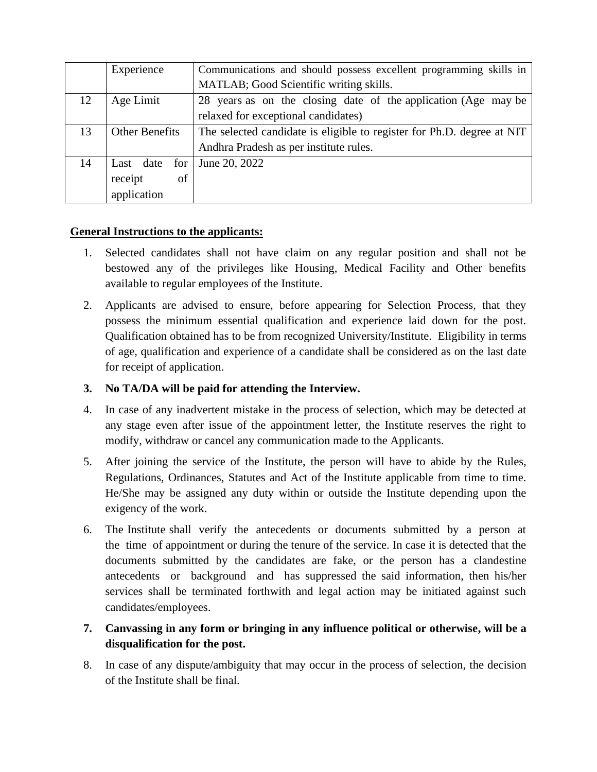|    | Experience            | Communications and should possess excellent programming skills in      |  |  |
|----|-----------------------|------------------------------------------------------------------------|--|--|
|    |                       | MATLAB; Good Scientific writing skills.                                |  |  |
| 12 | Age Limit             | 28 years as on the closing date of the application (Age may be         |  |  |
|    |                       | relaxed for exceptional candidates)                                    |  |  |
| 13 | <b>Other Benefits</b> | The selected candidate is eligible to register for Ph.D. degree at NIT |  |  |
|    |                       | Andhra Pradesh as per institute rules.                                 |  |  |
| 14 | Last date for         | June 20, 2022                                                          |  |  |
|    | receipt<br>of         |                                                                        |  |  |
|    | application           |                                                                        |  |  |

#### **General Instructions to the applicants:**

- 1. Selected candidates shall not have claim on any regular position and shall not be bestowed any of the privileges like Housing, Medical Facility and Other benefits available to regular employees of the Institute.
- 2. Applicants are advised to ensure, before appearing for Selection Process, that they possess the minimum essential qualification and experience laid down for the post. Qualification obtained has to be from recognized University/Institute. Eligibility in terms of age, qualification and experience of a candidate shall be considered as on the last date for receipt of application.

### **3. No TA/DA will be paid for attending the Interview.**

- 4. In case of any inadvertent mistake in the process of selection, which may be detected at any stage even after issue of the appointment letter, the Institute reserves the right to modify, withdraw or cancel any communication made to the Applicants.
- 5. After joining the service of the Institute, the person will have to abide by the Rules, Regulations, Ordinances, Statutes and Act of the Institute applicable from time to time. He/She may be assigned any duty within or outside the Institute depending upon the exigency of the work.
- 6. The Institute shall verify the antecedents or documents submitted by a person at the time of appointment or during the tenure of the service. In case it is detected that the documents submitted by the candidates are fake, or the person has a clandestine antecedents or background and has suppressed the said information, then his/her services shall be terminated forthwith and legal action may be initiated against such candidates/employees.

# **7. Canvassing in any form or bringing in any influence political or otherwise, will be a disqualification for the post.**

8. In case of any dispute/ambiguity that may occur in the process of selection, the decision of the Institute shall be final.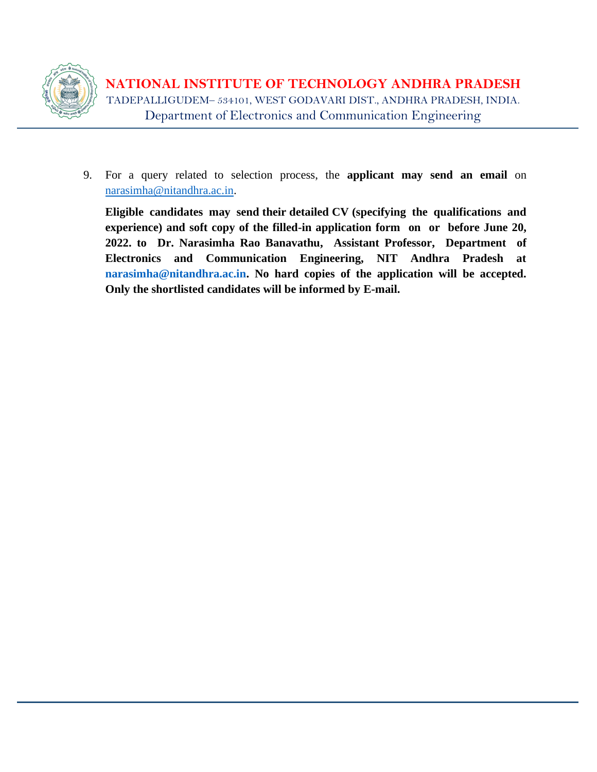

**NATIONAL INSTITUTE OF TECHNOLOGY ANDHRA PRADESH** TADEPALLIGUDEM– 534101, WEST GODAVARI DIST., ANDHRA PRADESH, INDIA. Department of Electronics and Communication Engineering

9. For a query related to selection process, the **applicant may send an email** on [narasimha@nitandhra.ac.in.](mailto:narasimha@nitandhra.ac.in)

**Eligible candidates may send their detailed CV (specifying the qualifications and experience) and soft copy of the filled-in application form on or before June 20, 2022. to Dr. Narasimha Rao Banavathu, Assistant Professor, Department of Electronics and Communication Engineering, NIT Andhra Pradesh at [narasimha@nitandhra.ac.in.](mailto:narasimha@nitandhra.ac.in) No hard copies of the application will be accepted. Only the shortlisted candidates will be informed by E-mail.**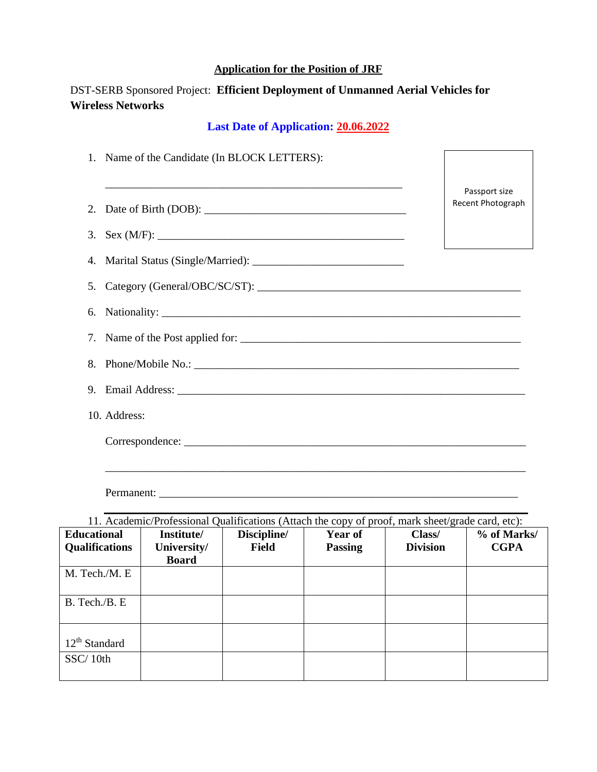#### **Application for the Position of JRF**

# DST-SERB Sponsored Project: **Efficient Deployment of Unmanned Aerial Vehicles for Wireless Networks**

# **Last Date of Application: 20.06.2022**

|              | 1. Name of the Candidate (In BLOCK LETTERS): |                   |  |  |  |  |
|--------------|----------------------------------------------|-------------------|--|--|--|--|
|              |                                              | Passport size     |  |  |  |  |
|              | 2. Date of Birth (DOB):                      | Recent Photograph |  |  |  |  |
|              |                                              |                   |  |  |  |  |
|              |                                              |                   |  |  |  |  |
|              |                                              |                   |  |  |  |  |
|              |                                              |                   |  |  |  |  |
|              |                                              |                   |  |  |  |  |
|              |                                              |                   |  |  |  |  |
|              |                                              |                   |  |  |  |  |
| 10. Address: |                                              |                   |  |  |  |  |
|              |                                              |                   |  |  |  |  |
|              |                                              |                   |  |  |  |  |
|              |                                              |                   |  |  |  |  |

| 11. Academic/Professional Qualifications (Attach the copy of proof, mark sheet/grade card, etc): |              |             |                |                 |             |  |  |  |
|--------------------------------------------------------------------------------------------------|--------------|-------------|----------------|-----------------|-------------|--|--|--|
| <b>Educational</b>                                                                               | Institute/   | Discipline/ | <b>Year of</b> | Class/          | % of Marks/ |  |  |  |
| <b>Qualifications</b>                                                                            | University/  | Field       | <b>Passing</b> | <b>Division</b> | <b>CGPA</b> |  |  |  |
|                                                                                                  | <b>Board</b> |             |                |                 |             |  |  |  |
| M. Tech./M. E                                                                                    |              |             |                |                 |             |  |  |  |
|                                                                                                  |              |             |                |                 |             |  |  |  |
| B. Tech./B. E                                                                                    |              |             |                |                 |             |  |  |  |
|                                                                                                  |              |             |                |                 |             |  |  |  |
|                                                                                                  |              |             |                |                 |             |  |  |  |
| $12th$ Standard                                                                                  |              |             |                |                 |             |  |  |  |
| SSC/10th                                                                                         |              |             |                |                 |             |  |  |  |
|                                                                                                  |              |             |                |                 |             |  |  |  |